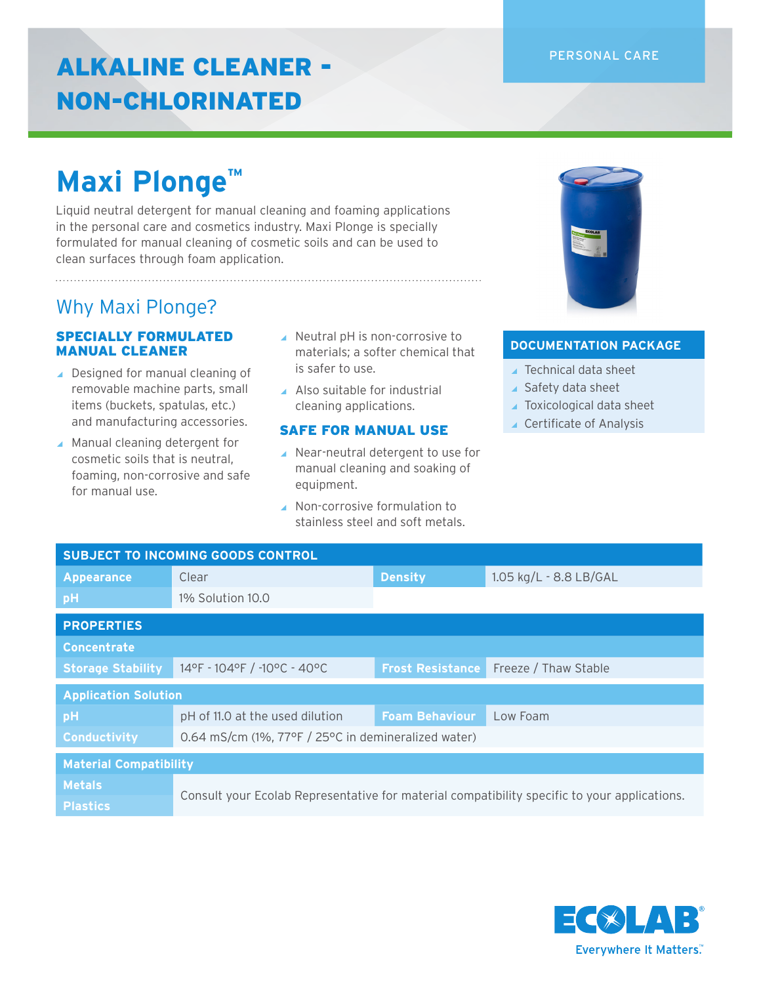#### PERSONAL CARE

### ALKALINE CLEANER - NON-CHLORINATED

## **Maxi Plonge™**

Liquid neutral detergent for manual cleaning and foaming applications in the personal care and cosmetics industry. Maxi Plonge is specially formulated for manual cleaning of cosmetic soils and can be used to clean surfaces through foam application.

### Why Maxi Plonge?

#### SPECIALLY FORMULATED MANUAL CLEANER

- ▲ Designed for manual cleaning of removable machine parts, small items (buckets, spatulas, etc.) and manufacturing accessories.
- ▲ Manual cleaning detergent for cosmetic soils that is neutral, foaming, non-corrosive and safe for manual use.
- ◢ Neutral pH is non-corrosive to materials; a softer chemical that is safer to use.
- ▲ Also suitable for industrial cleaning applications.

#### SAFE FOR MANUAL USE

- ◢ Near-neutral detergent to use for manual cleaning and soaking of equipment.
- ◢ Non-corrosive formulation to stainless steel and soft metals.



#### **DOCUMENTATION PACKAGE**

- ◢ Technical data sheet
- ▲ Safety data sheet
- ▲ Toxicological data sheet
- ◢ Certificate of Analysis

| <b>SUBJECT TO INCOMING GOODS CONTROL</b> |                                                                                              |                         |                        |  |  |
|------------------------------------------|----------------------------------------------------------------------------------------------|-------------------------|------------------------|--|--|
| <b>Appearance</b>                        | Clear                                                                                        | <b>Density</b>          | 1.05 kg/L - 8.8 LB/GAL |  |  |
| pH                                       | 1% Solution 10.0                                                                             |                         |                        |  |  |
| <b>PROPERTIES</b>                        |                                                                                              |                         |                        |  |  |
| <b>Concentrate</b>                       |                                                                                              |                         |                        |  |  |
| <b>Storage Stability</b>                 | 14°F - 104°F / -10°C - 40°C                                                                  | <b>Frost Resistance</b> | Freeze / Thaw Stable   |  |  |
| <b>Application Solution</b>              |                                                                                              |                         |                        |  |  |
| pH                                       | pH of 11.0 at the used dilution                                                              | <b>Foam Behaviour</b>   | Low Foam               |  |  |
| <b>Conductivity</b>                      | 0.64 mS/cm (1%, 77°F / 25°C in demineralized water)                                          |                         |                        |  |  |
| <b>Material Compatibility</b>            |                                                                                              |                         |                        |  |  |
| <b>Metals</b>                            | Consult your Ecolab Representative for material compatibility specific to your applications. |                         |                        |  |  |
| <b>Plastics</b>                          |                                                                                              |                         |                        |  |  |